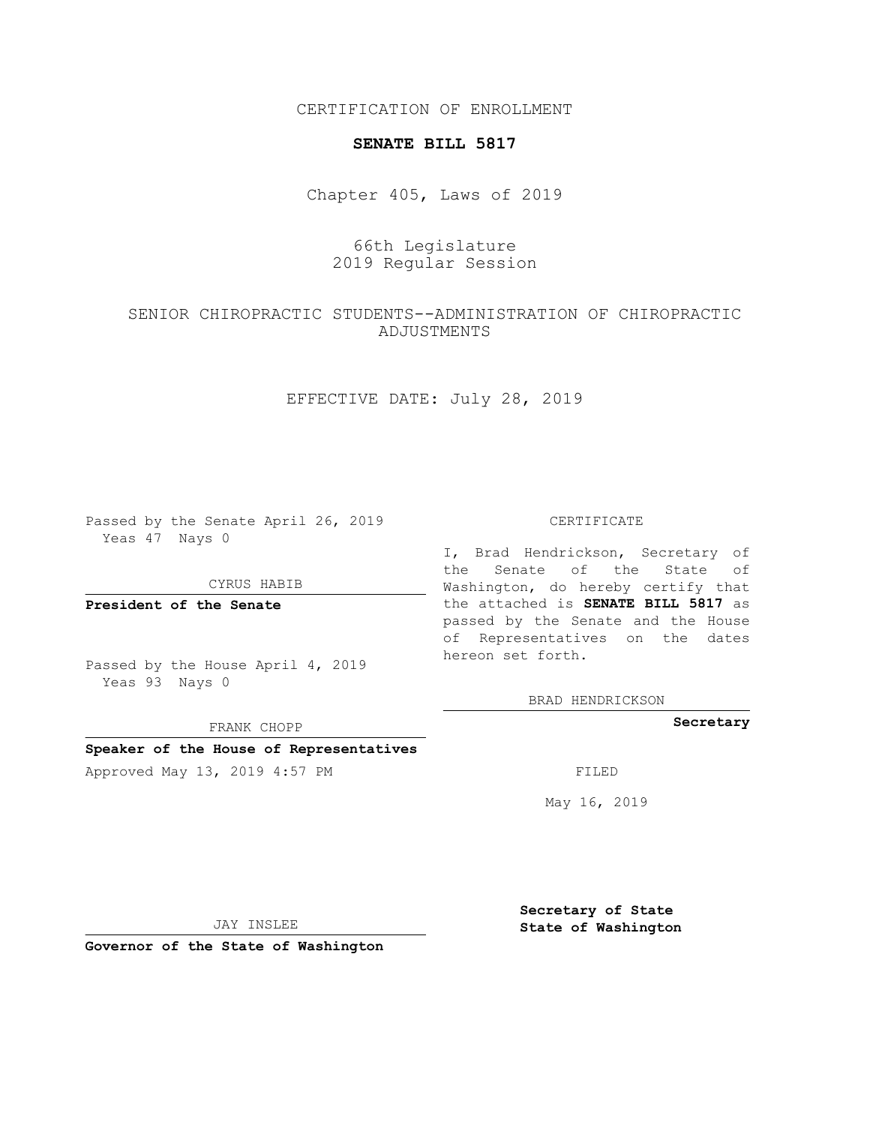CERTIFICATION OF ENROLLMENT

### **SENATE BILL 5817**

Chapter 405, Laws of 2019

# 66th Legislature 2019 Regular Session

# SENIOR CHIROPRACTIC STUDENTS--ADMINISTRATION OF CHIROPRACTIC ADJUSTMENTS

# EFFECTIVE DATE: July 28, 2019

Passed by the Senate April 26, 2019 Yeas 47 Nays 0

CYRUS HABIB

**President of the Senate**

Passed by the House April 4, 2019 Yeas 93 Nays 0

FRANK CHOPP

### **Speaker of the House of Representatives**

Approved May 13, 2019 4:57 PM

#### CERTIFICATE

I, Brad Hendrickson, Secretary of the Senate of the State of Washington, do hereby certify that the attached is **SENATE BILL 5817** as passed by the Senate and the House of Representatives on the dates hereon set forth.

BRAD HENDRICKSON

## **Secretary**

May 16, 2019

JAY INSLEE

**Governor of the State of Washington**

**Secretary of State State of Washington**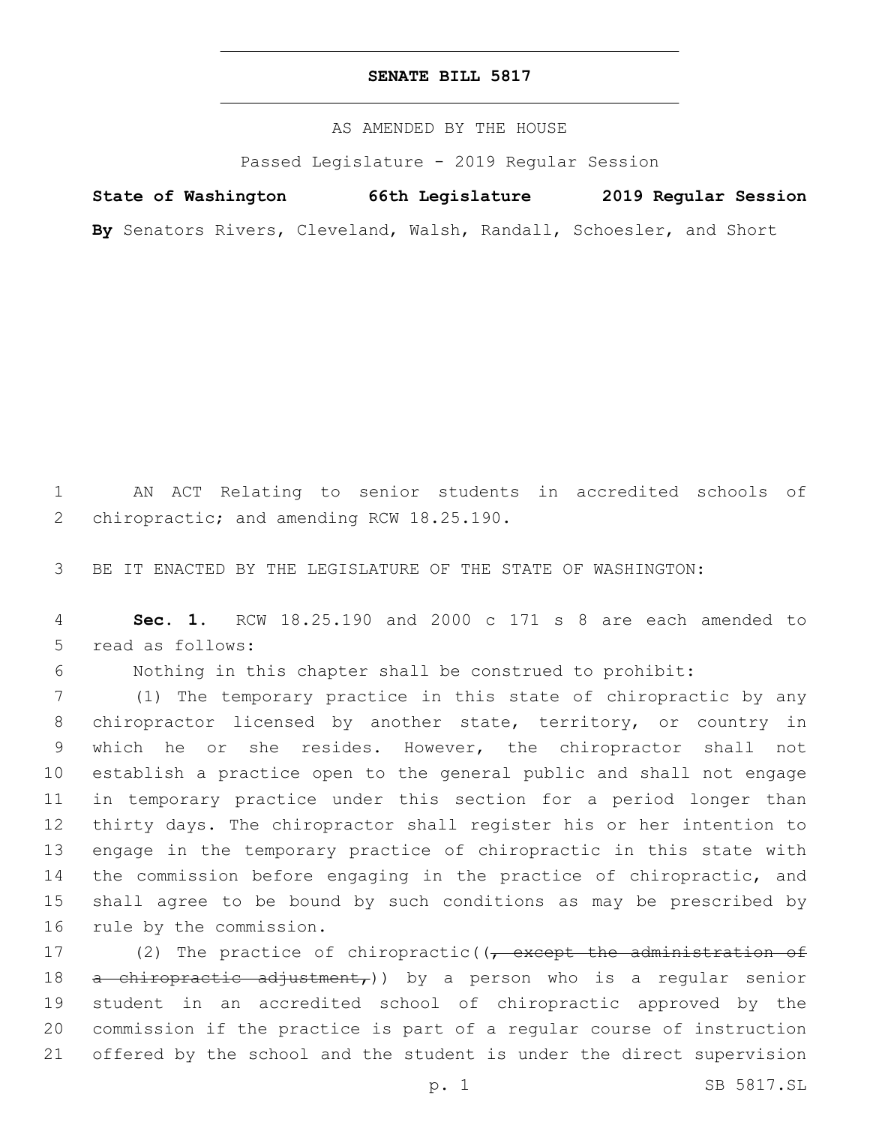## **SENATE BILL 5817**

AS AMENDED BY THE HOUSE

Passed Legislature - 2019 Regular Session

**State of Washington 66th Legislature 2019 Regular Session**

**By** Senators Rivers, Cleveland, Walsh, Randall, Schoesler, and Short

1 AN ACT Relating to senior students in accredited schools of 2 chiropractic; and amending RCW 18.25.190.

3 BE IT ENACTED BY THE LEGISLATURE OF THE STATE OF WASHINGTON:

4 **Sec. 1.** RCW 18.25.190 and 2000 c 171 s 8 are each amended to 5 read as follows:

6 Nothing in this chapter shall be construed to prohibit:

 (1) The temporary practice in this state of chiropractic by any chiropractor licensed by another state, territory, or country in which he or she resides. However, the chiropractor shall not establish a practice open to the general public and shall not engage in temporary practice under this section for a period longer than thirty days. The chiropractor shall register his or her intention to engage in the temporary practice of chiropractic in this state with the commission before engaging in the practice of chiropractic, and shall agree to be bound by such conditions as may be prescribed by 16 rule by the commission.

17 (2) The practice of chiropractic((, except the administration of 18 a chiropractic adjustment,)) by a person who is a regular senior 19 student in an accredited school of chiropractic approved by the 20 commission if the practice is part of a regular course of instruction 21 offered by the school and the student is under the direct supervision